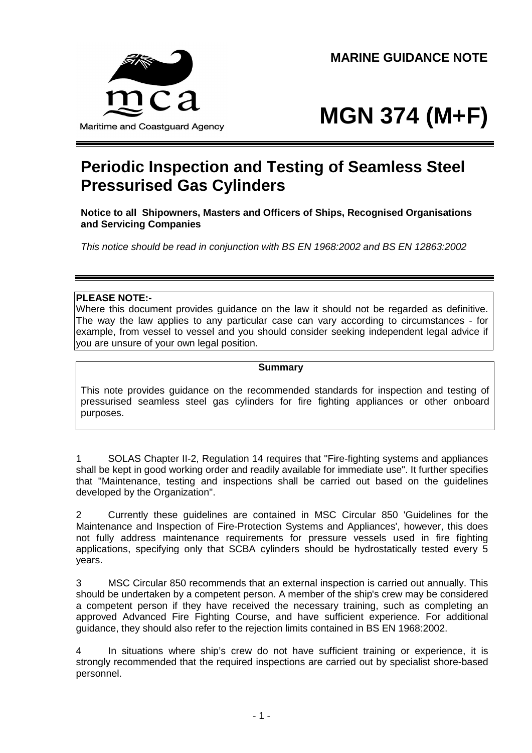Maritime and Coastguard Agency

# **MGN 374 (M+F)**

## **Periodic Inspection and Testing of Seamless Steel Pressurised Gas Cylinders**

**Notice to all Shipowners, Masters and Officers of Ships, Recognised Organisations and Servicing Companies**

*This notice should be read in conjunction with BS EN 1968:2002 and BS EN 12863:2002*

#### **PLEASE NOTE:-**

Where this document provides guidance on the law it should not be regarded as definitive. The way the law applies to any particular case can vary according to circumstances - for example, from vessel to vessel and you should consider seeking independent legal advice if you are unsure of your own legal position.

#### **Summary**

This note provides guidance on the recommended standards for inspection and testing of pressurised seamless steel gas cylinders for fire fighting appliances or other onboard purposes.

1 SOLAS Chapter II-2, Regulation 14 requires that "Fire-fighting systems and appliances shall be kept in good working order and readily available for immediate use". It further specifies that "Maintenance, testing and inspections shall be carried out based on the guidelines developed by the Organization".

2 Currently these guidelines are contained in MSC Circular 850 'Guidelines for the Maintenance and Inspection of Fire-Protection Systems and Appliances', however, this does not fully address maintenance requirements for pressure vessels used in fire fighting applications, specifying only that SCBA cylinders should be hydrostatically tested every 5 years.

3 MSC Circular 850 recommends that an external inspection is carried out annually. This should be undertaken by a competent person. A member of the ship's crew may be considered a competent person if they have received the necessary training, such as completing an approved Advanced Fire Fighting Course, and have sufficient experience. For additional guidance, they should also refer to the rejection limits contained in BS EN 1968:2002.

4 In situations where ship's crew do not have sufficient training or experience, it is strongly recommended that the required inspections are carried out by specialist shore-based personnel.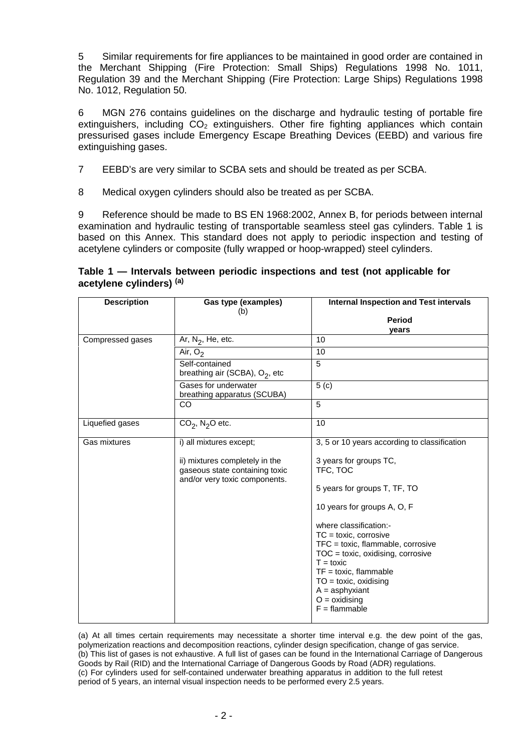5 Similar requirements for fire appliances to be maintained in good order are contained in the Merchant Shipping (Fire Protection: Small Ships) Regulations 1998 No. 1011, Regulation 39 and the Merchant Shipping (Fire Protection: Large Ships) Regulations 1998 No. 1012, Regulation 50.

6 MGN 276 contains guidelines on the discharge and hydraulic testing of portable fire extinguishers, including  $CO<sub>2</sub>$  extinguishers. Other fire fighting appliances which contain pressurised gases include Emergency Escape Breathing Devices (EEBD) and various fire extinguishing gases.

7 EEBD's are very similar to SCBA sets and should be treated as per SCBA.

8 Medical oxygen cylinders should also be treated as per SCBA.

9 Reference should be made to BS EN 1968:2002, Annex B, for periods between internal examination and hydraulic testing of transportable seamless steel gas cylinders. Table 1 is based on this Annex. This standard does not apply to periodic inspection and testing of acetylene cylinders or composite (fully wrapped or hoop-wrapped) steel cylinders.

#### **Table 1 — Intervals between periodic inspections and test (not applicable for acetylene cylinders) (a)**

| <b>Description</b> | Gas type (examples)                                                                               | <b>Internal Inspection and Test intervals</b>                                                                                                                                                                                                                  |
|--------------------|---------------------------------------------------------------------------------------------------|----------------------------------------------------------------------------------------------------------------------------------------------------------------------------------------------------------------------------------------------------------------|
|                    | (b)                                                                                               | <b>Period</b>                                                                                                                                                                                                                                                  |
|                    |                                                                                                   | vears                                                                                                                                                                                                                                                          |
| Compressed gases   | Ar, $N_2$ , He, etc.                                                                              | 10                                                                                                                                                                                                                                                             |
|                    | Air, $O2$                                                                                         | 10                                                                                                                                                                                                                                                             |
|                    | Self-contained<br>breathing air (SCBA), $O_2$ , etc                                               | 5                                                                                                                                                                                                                                                              |
|                    | Gases for underwater<br>breathing apparatus (SCUBA)                                               | 5( c)                                                                                                                                                                                                                                                          |
|                    | <b>CO</b>                                                                                         | 5                                                                                                                                                                                                                                                              |
| Liquefied gases    | $CO2$ , N <sub>2</sub> O etc.                                                                     | 10                                                                                                                                                                                                                                                             |
| Gas mixtures       | i) all mixtures except;                                                                           | 3, 5 or 10 years according to classification                                                                                                                                                                                                                   |
|                    | ii) mixtures completely in the<br>gaseous state containing toxic<br>and/or very toxic components. | 3 years for groups TC,<br>TFC, TOC                                                                                                                                                                                                                             |
|                    |                                                                                                   | 5 years for groups T, TF, TO                                                                                                                                                                                                                                   |
|                    |                                                                                                   | 10 years for groups A, O, F                                                                                                                                                                                                                                    |
|                    |                                                                                                   | where classification:-<br>$TC = toxic$ , corrosive<br>TFC = toxic, flammable, corrosive<br>$TOC = toxic$ , oxidising, corrosive<br>$T =$ toxic<br>$TF = toxic, flammable$<br>$TO = toxic, oxidising$<br>$A =$ asphyxiant<br>$O =$ oxidising<br>$F =$ flammable |

(a) At all times certain requirements may necessitate a shorter time interval e.g. the dew point of the gas, polymerization reactions and decomposition reactions, cylinder design specification, change of gas service. (b) This list of gases is not exhaustive. A full list of gases can be found in the International Carriage of Dangerous Goods by Rail (RID) and the International Carriage of Dangerous Goods by Road (ADR) regulations. (c) For cylinders used for self-contained underwater breathing apparatus in addition to the full retest period of 5 years, an internal visual inspection needs to be performed every 2.5 years.